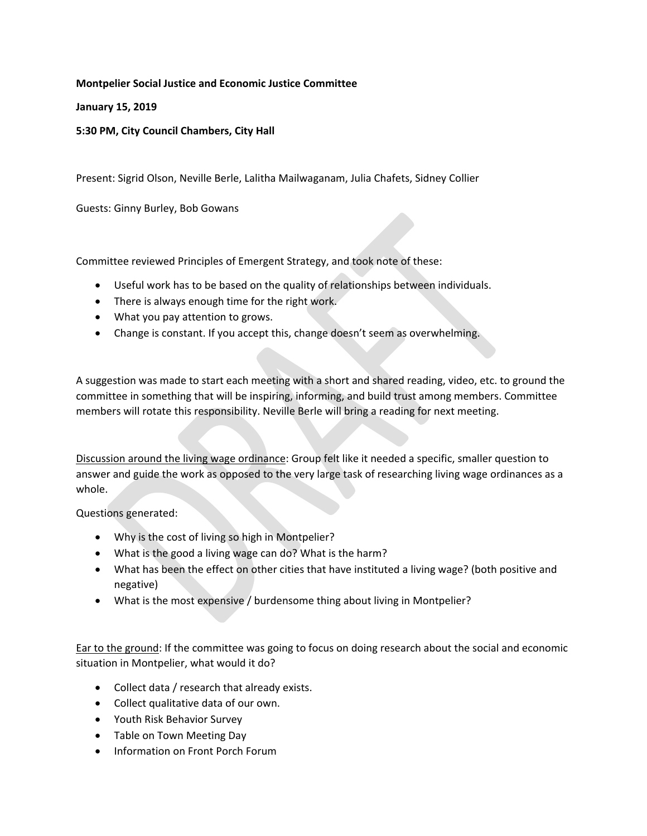## **Montpelier Social Justice and Economic Justice Committee**

**January 15, 2019** 

## **5:30 PM, City Council Chambers, City Hall**

Present: Sigrid Olson, Neville Berle, Lalitha Mailwaganam, Julia Chafets, Sidney Collier

Guests: Ginny Burley, Bob Gowans

Committee reviewed Principles of Emergent Strategy, and took note of these:

- Useful work has to be based on the quality of relationships between individuals.
- There is always enough time for the right work.
- What you pay attention to grows.
- Change is constant. If you accept this, change doesn't seem as overwhelming.

A suggestion was made to start each meeting with a short and shared reading, video, etc. to ground the committee in something that will be inspiring, informing, and build trust among members. Committee members will rotate this responsibility. Neville Berle will bring a reading for next meeting.

Discussion around the living wage ordinance: Group felt like it needed a specific, smaller question to answer and guide the work as opposed to the very large task of researching living wage ordinances as a whole.

Questions generated:

- Why is the cost of living so high in Montpelier?
- What is the good a living wage can do? What is the harm?
- What has been the effect on other cities that have instituted a living wage? (both positive and negative)
- What is the most expensive / burdensome thing about living in Montpelier?

Ear to the ground: If the committee was going to focus on doing research about the social and economic situation in Montpelier, what would it do?

- Collect data / research that already exists.
- Collect qualitative data of our own.
- Youth Risk Behavior Survey
- Table on Town Meeting Day
- Information on Front Porch Forum